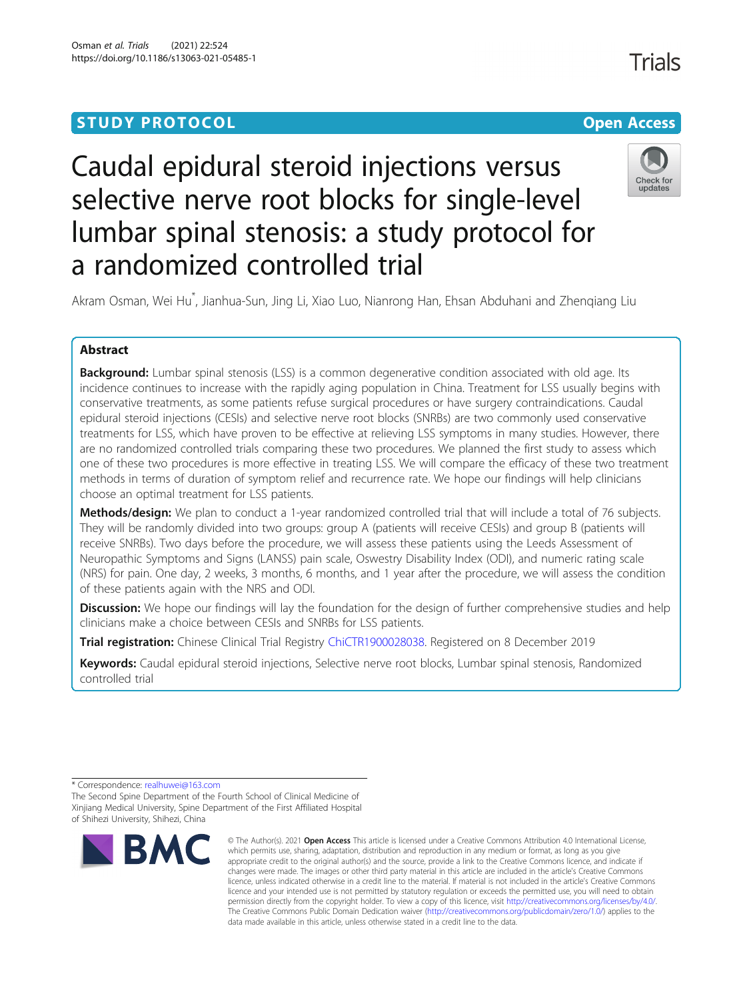# **STUDY PROTOCOL CONSUMING THE RESERVE ACCESS**



# Caudal epidural steroid injections versus selective nerve root blocks for single-level lumbar spinal stenosis: a study protocol for a randomized controlled trial



Akram Osman, Wei Hu\* , Jianhua-Sun, Jing Li, Xiao Luo, Nianrong Han, Ehsan Abduhani and Zhenqiang Liu

# Abstract

**Background:** Lumbar spinal stenosis (LSS) is a common degenerative condition associated with old age. Its incidence continues to increase with the rapidly aging population in China. Treatment for LSS usually begins with conservative treatments, as some patients refuse surgical procedures or have surgery contraindications. Caudal epidural steroid injections (CESIs) and selective nerve root blocks (SNRBs) are two commonly used conservative treatments for LSS, which have proven to be effective at relieving LSS symptoms in many studies. However, there are no randomized controlled trials comparing these two procedures. We planned the first study to assess which one of these two procedures is more effective in treating LSS. We will compare the efficacy of these two treatment methods in terms of duration of symptom relief and recurrence rate. We hope our findings will help clinicians choose an optimal treatment for LSS patients.

Methods/design: We plan to conduct a 1-year randomized controlled trial that will include a total of 76 subjects. They will be randomly divided into two groups: group A (patients will receive CESIs) and group B (patients will receive SNRBs). Two days before the procedure, we will assess these patients using the Leeds Assessment of Neuropathic Symptoms and Signs (LANSS) pain scale, Oswestry Disability Index (ODI), and numeric rating scale (NRS) for pain. One day, 2 weeks, 3 months, 6 months, and 1 year after the procedure, we will assess the condition of these patients again with the NRS and ODI.

**Discussion:** We hope our findings will lay the foundation for the design of further comprehensive studies and help clinicians make a choice between CESIs and SNRBs for LSS patients.

Trial registration: Chinese Clinical Trial Registry [ChiCTR1900028038.](http://www.chictr.org.cn/showproj.aspx?proj=46540) Registered on 8 December 2019

Keywords: Caudal epidural steroid injections, Selective nerve root blocks, Lumbar spinal stenosis, Randomized controlled trial

The Second Spine Department of the Fourth School of Clinical Medicine of Xinjiang Medical University, Spine Department of the First Affiliated Hospital of Shihezi University, Shihezi, China



<sup>©</sup> The Author(s), 2021 **Open Access** This article is licensed under a Creative Commons Attribution 4.0 International License, which permits use, sharing, adaptation, distribution and reproduction in any medium or format, as long as you give appropriate credit to the original author(s) and the source, provide a link to the Creative Commons licence, and indicate if changes were made. The images or other third party material in this article are included in the article's Creative Commons licence, unless indicated otherwise in a credit line to the material. If material is not included in the article's Creative Commons licence and your intended use is not permitted by statutory regulation or exceeds the permitted use, you will need to obtain permission directly from the copyright holder. To view a copy of this licence, visit [http://creativecommons.org/licenses/by/4.0/.](http://creativecommons.org/licenses/by/4.0/) The Creative Commons Public Domain Dedication waiver [\(http://creativecommons.org/publicdomain/zero/1.0/](http://creativecommons.org/publicdomain/zero/1.0/)) applies to the data made available in this article, unless otherwise stated in a credit line to the data.

<sup>\*</sup> Correspondence: [realhuwei@163.com](mailto:realhuwei@163.com)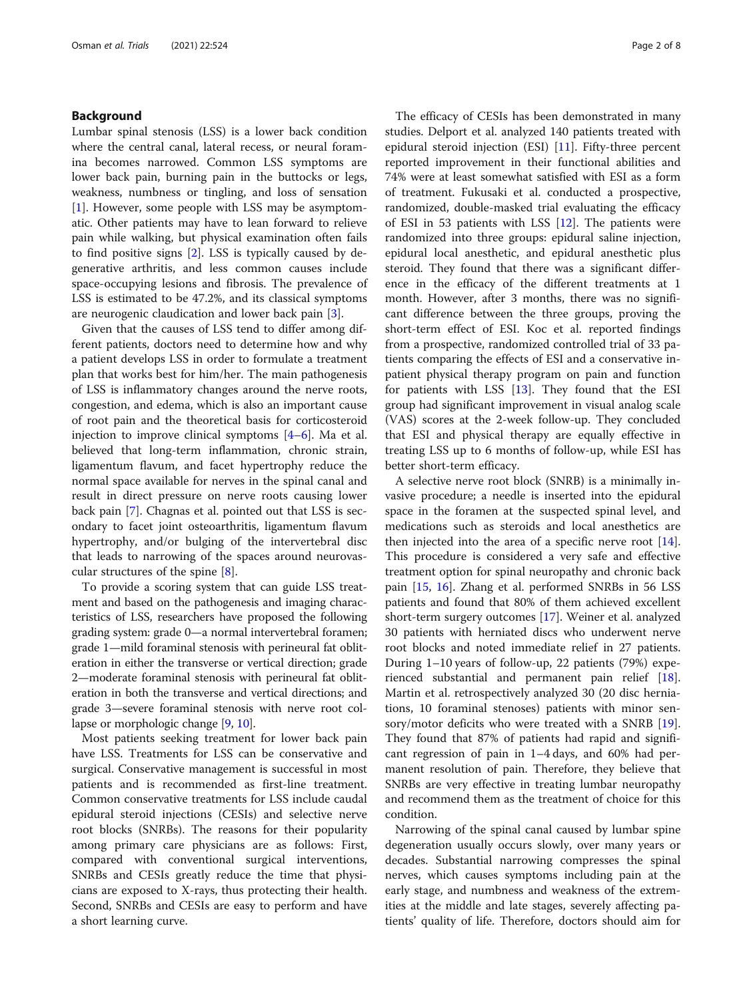### Background

Lumbar spinal stenosis (LSS) is a lower back condition where the central canal, lateral recess, or neural foramina becomes narrowed. Common LSS symptoms are lower back pain, burning pain in the buttocks or legs, weakness, numbness or tingling, and loss of sensation [[1\]](#page-7-0). However, some people with LSS may be asymptomatic. Other patients may have to lean forward to relieve pain while walking, but physical examination often fails to find positive signs [\[2](#page-7-0)]. LSS is typically caused by degenerative arthritis, and less common causes include space-occupying lesions and fibrosis. The prevalence of LSS is estimated to be 47.2%, and its classical symptoms are neurogenic claudication and lower back pain [[3\]](#page-7-0).

Given that the causes of LSS tend to differ among different patients, doctors need to determine how and why a patient develops LSS in order to formulate a treatment plan that works best for him/her. The main pathogenesis of LSS is inflammatory changes around the nerve roots, congestion, and edema, which is also an important cause of root pain and the theoretical basis for corticosteroid injection to improve clinical symptoms  $[4-6]$  $[4-6]$  $[4-6]$  $[4-6]$  $[4-6]$ . Ma et al. believed that long-term inflammation, chronic strain, ligamentum flavum, and facet hypertrophy reduce the normal space available for nerves in the spinal canal and result in direct pressure on nerve roots causing lower back pain [\[7](#page-7-0)]. Chagnas et al. pointed out that LSS is secondary to facet joint osteoarthritis, ligamentum flavum hypertrophy, and/or bulging of the intervertebral disc that leads to narrowing of the spaces around neurovascular structures of the spine [[8\]](#page-7-0).

To provide a scoring system that can guide LSS treatment and based on the pathogenesis and imaging characteristics of LSS, researchers have proposed the following grading system: grade 0—a normal intervertebral foramen; grade 1—mild foraminal stenosis with perineural fat obliteration in either the transverse or vertical direction; grade 2—moderate foraminal stenosis with perineural fat obliteration in both the transverse and vertical directions; and grade 3—severe foraminal stenosis with nerve root collapse or morphologic change [[9,](#page-7-0) [10](#page-7-0)].

Most patients seeking treatment for lower back pain have LSS. Treatments for LSS can be conservative and surgical. Conservative management is successful in most patients and is recommended as first-line treatment. Common conservative treatments for LSS include caudal epidural steroid injections (CESIs) and selective nerve root blocks (SNRBs). The reasons for their popularity among primary care physicians are as follows: First, compared with conventional surgical interventions, SNRBs and CESIs greatly reduce the time that physicians are exposed to X-rays, thus protecting their health. Second, SNRBs and CESIs are easy to perform and have a short learning curve.

The efficacy of CESIs has been demonstrated in many studies. Delport et al. analyzed 140 patients treated with epidural steroid injection (ESI) [[11\]](#page-7-0). Fifty-three percent reported improvement in their functional abilities and 74% were at least somewhat satisfied with ESI as a form of treatment. Fukusaki et al. conducted a prospective, randomized, double-masked trial evaluating the efficacy of ESI in 53 patients with LSS  $[12]$  $[12]$ . The patients were randomized into three groups: epidural saline injection, epidural local anesthetic, and epidural anesthetic plus steroid. They found that there was a significant difference in the efficacy of the different treatments at 1 month. However, after 3 months, there was no significant difference between the three groups, proving the short-term effect of ESI. Koc et al. reported findings from a prospective, randomized controlled trial of 33 patients comparing the effects of ESI and a conservative inpatient physical therapy program on pain and function for patients with LSS  $[13]$  $[13]$ . They found that the ESI group had significant improvement in visual analog scale (VAS) scores at the 2-week follow-up. They concluded that ESI and physical therapy are equally effective in treating LSS up to 6 months of follow-up, while ESI has better short-term efficacy.

A selective nerve root block (SNRB) is a minimally invasive procedure; a needle is inserted into the epidural space in the foramen at the suspected spinal level, and medications such as steroids and local anesthetics are then injected into the area of a specific nerve root  $[14]$  $[14]$ . This procedure is considered a very safe and effective treatment option for spinal neuropathy and chronic back pain [\[15](#page-7-0), [16](#page-7-0)]. Zhang et al. performed SNRBs in 56 LSS patients and found that 80% of them achieved excellent short-term surgery outcomes [[17\]](#page-7-0). Weiner et al. analyzed 30 patients with herniated discs who underwent nerve root blocks and noted immediate relief in 27 patients. During 1–10 years of follow-up, 22 patients (79%) experienced substantial and permanent pain relief [\[18](#page-7-0)]. Martin et al. retrospectively analyzed 30 (20 disc herniations, 10 foraminal stenoses) patients with minor sensory/motor deficits who were treated with a SNRB [\[19](#page-7-0)]. They found that 87% of patients had rapid and significant regression of pain in 1–4 days, and 60% had permanent resolution of pain. Therefore, they believe that SNRBs are very effective in treating lumbar neuropathy and recommend them as the treatment of choice for this condition.

Narrowing of the spinal canal caused by lumbar spine degeneration usually occurs slowly, over many years or decades. Substantial narrowing compresses the spinal nerves, which causes symptoms including pain at the early stage, and numbness and weakness of the extremities at the middle and late stages, severely affecting patients' quality of life. Therefore, doctors should aim for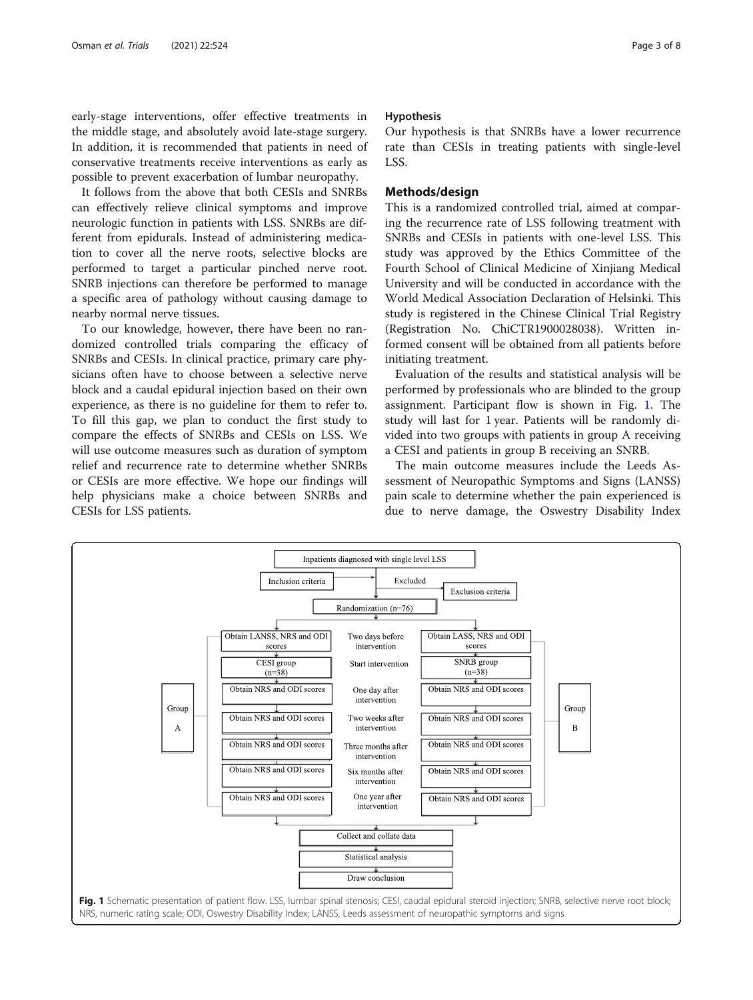early-stage interventions, offer effective treatments in the middle stage, and absolutely avoid late-stage surgery. In addition, it is recommended that patients in need of conservative treatments receive interventions as early as possible to prevent exacerbation of lumbar neuropathy.

It follows from the above that both CESIs and SNRBs can effectively relieve clinical symptoms and improve neurologic function in patients with LSS. SNRBs are different from epidurals. Instead of administering medication to cover all the nerve roots, selective blocks are performed to target a particular pinched nerve root. SNRB injections can therefore be performed to manage a specific area of pathology without causing damage to nearby normal nerve tissues.

To our knowledge, however, there have been no randomized controlled trials comparing the efficacy of SNRBs and CESIs. In clinical practice, primary care physicians often have to choose between a selective nerve block and a caudal epidural injection based on their own experience, as there is no guideline for them to refer to. To fill this gap, we plan to conduct the first study to compare the effects of SNRBs and CESIs on LSS. We will use outcome measures such as duration of symptom relief and recurrence rate to determine whether SNRBs or CESIs are more effective. We hope our findings will help physicians make a choice between SNRBs and CESIs for LSS patients.

#### Hypothesis

Our hypothesis is that SNRBs have a lower recurrence rate than CESIs in treating patients with single-level LSS.

#### Methods/design

This is a randomized controlled trial, aimed at comparing the recurrence rate of LSS following treatment with SNRBs and CESIs in patients with one-level LSS. This study was approved by the Ethics Committee of the Fourth School of Clinical Medicine of Xinjiang Medical University and will be conducted in accordance with the World Medical Association Declaration of Helsinki. This study is registered in the Chinese Clinical Trial Registry (Registration No. ChiCTR1900028038). Written informed consent will be obtained from all patients before initiating treatment.

Evaluation of the results and statistical analysis will be performed by professionals who are blinded to the group assignment. Participant flow is shown in Fig. 1. The study will last for 1 year. Patients will be randomly divided into two groups with patients in group A receiving a CESI and patients in group B receiving an SNRB.

The main outcome measures include the Leeds Assessment of Neuropathic Symptoms and Signs (LANSS) pain scale to determine whether the pain experienced is due to nerve damage, the Oswestry Disability Index

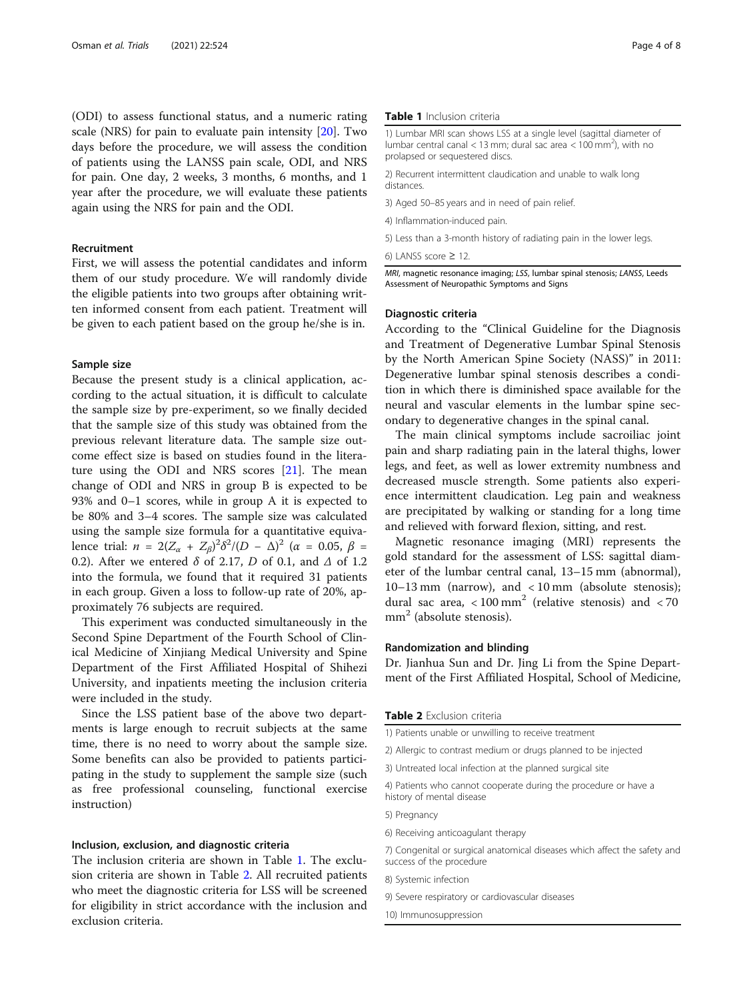(ODI) to assess functional status, and a numeric rating scale (NRS) for pain to evaluate pain intensity [[20](#page-7-0)]. Two days before the procedure, we will assess the condition of patients using the LANSS pain scale, ODI, and NRS for pain. One day, 2 weeks, 3 months, 6 months, and 1 year after the procedure, we will evaluate these patients again using the NRS for pain and the ODI.

### Recruitment

First, we will assess the potential candidates and inform them of our study procedure. We will randomly divide the eligible patients into two groups after obtaining written informed consent from each patient. Treatment will be given to each patient based on the group he/she is in.

#### Sample size

Because the present study is a clinical application, according to the actual situation, it is difficult to calculate the sample size by pre-experiment, so we finally decided that the sample size of this study was obtained from the previous relevant literature data. The sample size outcome effect size is based on studies found in the literature using the ODI and NRS scores [[21\]](#page-7-0). The mean change of ODI and NRS in group B is expected to be 93% and 0–1 scores, while in group A it is expected to be 80% and 3–4 scores. The sample size was calculated using the sample size formula for a quantitative equivalence trial:  $n = 2(Z_{\alpha} + Z_{\beta})^2 \delta^2 / (D - \Delta)^2$  (α = 0.05, β = 0.2). After we entered  $\delta$  of 2.17, D of 0.1, and  $\Delta$  of 1.2 into the formula, we found that it required 31 patients in each group. Given a loss to follow-up rate of 20%, approximately 76 subjects are required.

This experiment was conducted simultaneously in the Second Spine Department of the Fourth School of Clinical Medicine of Xinjiang Medical University and Spine Department of the First Affiliated Hospital of Shihezi University, and inpatients meeting the inclusion criteria were included in the study.

Since the LSS patient base of the above two departments is large enough to recruit subjects at the same time, there is no need to worry about the sample size. Some benefits can also be provided to patients participating in the study to supplement the sample size (such as free professional counseling, functional exercise instruction)

#### Inclusion, exclusion, and diagnostic criteria

The inclusion criteria are shown in Table 1. The exclusion criteria are shown in Table 2. All recruited patients who meet the diagnostic criteria for LSS will be screened for eligibility in strict accordance with the inclusion and exclusion criteria.

#### Table 1 Inclusion criteria

1) Lumbar MRI scan shows LSS at a single level (sagittal diameter of lumbar central canal < 13 mm; dural sac area <  $100$  mm<sup>2</sup>), with no prolapsed or sequestered discs.

2) Recurrent intermittent claudication and unable to walk long distances.

- 3) Aged 50–85 years and in need of pain relief.
- 4) Inflammation-induced pain.
- 5) Less than a 3-month history of radiating pain in the lower legs.

MRI, magnetic resonance imaging; LSS, lumbar spinal stenosis; LANSS, Leeds Assessment of Neuropathic Symptoms and Signs

### Diagnostic criteria

According to the "Clinical Guideline for the Diagnosis and Treatment of Degenerative Lumbar Spinal Stenosis by the North American Spine Society (NASS)" in 2011: Degenerative lumbar spinal stenosis describes a condition in which there is diminished space available for the neural and vascular elements in the lumbar spine secondary to degenerative changes in the spinal canal.

The main clinical symptoms include sacroiliac joint pain and sharp radiating pain in the lateral thighs, lower legs, and feet, as well as lower extremity numbness and decreased muscle strength. Some patients also experience intermittent claudication. Leg pain and weakness are precipitated by walking or standing for a long time and relieved with forward flexion, sitting, and rest.

Magnetic resonance imaging (MRI) represents the gold standard for the assessment of LSS: sagittal diameter of the lumbar central canal, 13–15 mm (abnormal), 10–13 mm (narrow), and < 10 mm (absolute stenosis); dural sac area,  $\langle 100 \text{ mm}^2$  (relative stenosis) and  $\langle 70 \rangle$  $mm<sup>2</sup>$  (absolute stenosis).

## Randomization and blinding

Dr. Jianhua Sun and Dr. Jing Li from the Spine Department of the First Affiliated Hospital, School of Medicine,

Table 2 Exclusion criteria

- 2) Allergic to contrast medium or drugs planned to be injected
- 3) Untreated local infection at the planned surgical site

4) Patients who cannot cooperate during the procedure or have a history of mental disease

- 5) Pregnancy
- 6) Receiving anticoagulant therapy

7) Congenital or surgical anatomical diseases which affect the safety and success of the procedure

- 8) Systemic infection
- 9) Severe respiratory or cardiovascular diseases

10) Immunosuppression

<sup>6)</sup> LANSS score  $\geq 12$ 

<sup>1)</sup> Patients unable or unwilling to receive treatment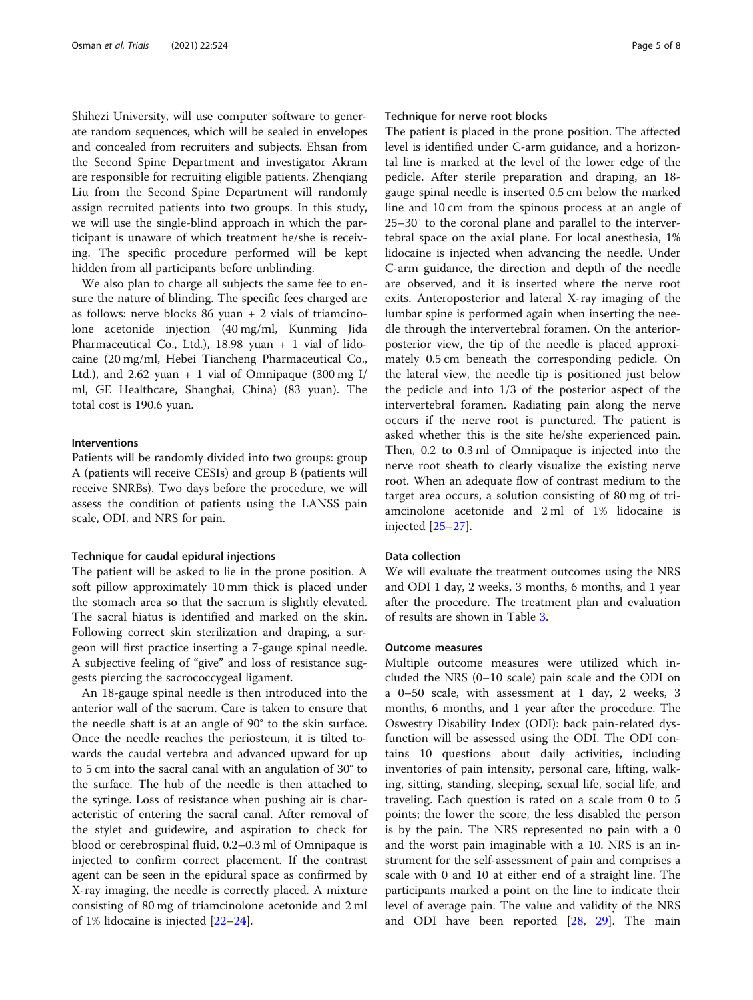Shihezi University, will use computer software to generate random sequences, which will be sealed in envelopes and concealed from recruiters and subjects. Ehsan from the Second Spine Department and investigator Akram are responsible for recruiting eligible patients. Zhenqiang Liu from the Second Spine Department will randomly assign recruited patients into two groups. In this study, we will use the single-blind approach in which the participant is unaware of which treatment he/she is receiving. The specific procedure performed will be kept hidden from all participants before unblinding.

We also plan to charge all subjects the same fee to ensure the nature of blinding. The specific fees charged are as follows: nerve blocks 86 yuan + 2 vials of triamcinolone acetonide injection (40 mg/ml, Kunming Jida Pharmaceutical Co., Ltd.), 18.98 yuan + 1 vial of lidocaine (20 mg/ml, Hebei Tiancheng Pharmaceutical Co., Ltd.), and 2.62 yuan  $+1$  vial of Omnipaque (300 mg I/ ml, GE Healthcare, Shanghai, China) (83 yuan). The total cost is 190.6 yuan.

#### Interventions

Patients will be randomly divided into two groups: group A (patients will receive CESIs) and group B (patients will receive SNRBs). Two days before the procedure, we will assess the condition of patients using the LANSS pain scale, ODI, and NRS for pain.

#### Technique for caudal epidural injections

The patient will be asked to lie in the prone position. A soft pillow approximately 10 mm thick is placed under the stomach area so that the sacrum is slightly elevated. The sacral hiatus is identified and marked on the skin. Following correct skin sterilization and draping, a surgeon will first practice inserting a 7-gauge spinal needle. A subjective feeling of "give" and loss of resistance suggests piercing the sacrococcygeal ligament.

An 18-gauge spinal needle is then introduced into the anterior wall of the sacrum. Care is taken to ensure that the needle shaft is at an angle of 90° to the skin surface. Once the needle reaches the periosteum, it is tilted towards the caudal vertebra and advanced upward for up to 5 cm into the sacral canal with an angulation of 30° to the surface. The hub of the needle is then attached to the syringe. Loss of resistance when pushing air is characteristic of entering the sacral canal. After removal of the stylet and guidewire, and aspiration to check for blood or cerebrospinal fluid, 0.2–0.3 ml of Omnipaque is injected to confirm correct placement. If the contrast agent can be seen in the epidural space as confirmed by X-ray imaging, the needle is correctly placed. A mixture consisting of 80 mg of triamcinolone acetonide and 2 ml of 1% lidocaine is injected [\[22](#page-7-0)–[24\]](#page-7-0).

#### Technique for nerve root blocks

The patient is placed in the prone position. The affected level is identified under C-arm guidance, and a horizontal line is marked at the level of the lower edge of the pedicle. After sterile preparation and draping, an 18 gauge spinal needle is inserted 0.5 cm below the marked line and 10 cm from the spinous process at an angle of 25–30° to the coronal plane and parallel to the intervertebral space on the axial plane. For local anesthesia, 1% lidocaine is injected when advancing the needle. Under C-arm guidance, the direction and depth of the needle are observed, and it is inserted where the nerve root exits. Anteroposterior and lateral X-ray imaging of the lumbar spine is performed again when inserting the needle through the intervertebral foramen. On the anteriorposterior view, the tip of the needle is placed approximately 0.5 cm beneath the corresponding pedicle. On the lateral view, the needle tip is positioned just below the pedicle and into 1/3 of the posterior aspect of the intervertebral foramen. Radiating pain along the nerve occurs if the nerve root is punctured. The patient is asked whether this is the site he/she experienced pain. Then, 0.2 to 0.3 ml of Omnipaque is injected into the nerve root sheath to clearly visualize the existing nerve root. When an adequate flow of contrast medium to the target area occurs, a solution consisting of 80 mg of triamcinolone acetonide and 2 ml of 1% lidocaine is injected [[25](#page-7-0)–[27](#page-7-0)].

#### Data collection

We will evaluate the treatment outcomes using the NRS and ODI 1 day, 2 weeks, 3 months, 6 months, and 1 year after the procedure. The treatment plan and evaluation of results are shown in Table [3.](#page-5-0)

# Outcome measures

Multiple outcome measures were utilized which included the NRS (0–10 scale) pain scale and the ODI on a 0–50 scale, with assessment at 1 day, 2 weeks, 3 months, 6 months, and 1 year after the procedure. The Oswestry Disability Index (ODI): back pain-related dysfunction will be assessed using the ODI. The ODI contains 10 questions about daily activities, including inventories of pain intensity, personal care, lifting, walking, sitting, standing, sleeping, sexual life, social life, and traveling. Each question is rated on a scale from 0 to 5 points; the lower the score, the less disabled the person is by the pain. The NRS represented no pain with a 0 and the worst pain imaginable with a 10. NRS is an instrument for the self-assessment of pain and comprises a scale with 0 and 10 at either end of a straight line. The participants marked a point on the line to indicate their level of average pain. The value and validity of the NRS and ODI have been reported [[28,](#page-7-0) [29](#page-7-0)]. The main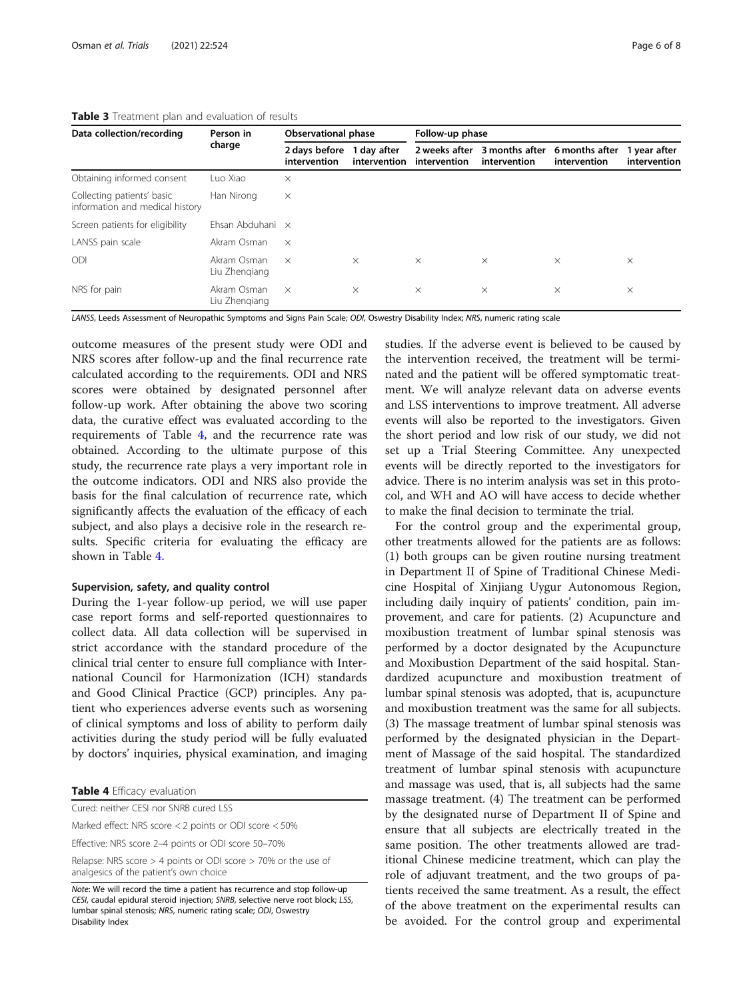| Data collection/recording                                     | Person in<br>charge          | <b>Observational phase</b>    |                             | Follow-up phase               |                                |                                |                              |
|---------------------------------------------------------------|------------------------------|-------------------------------|-----------------------------|-------------------------------|--------------------------------|--------------------------------|------------------------------|
|                                                               |                              | 2 days before<br>intervention | 1 day after<br>intervention | 2 weeks after<br>intervention | 3 months after<br>intervention | 6 months after<br>intervention | 1 year after<br>intervention |
| Obtaining informed consent                                    | Luo Xiao                     | $\times$                      |                             |                               |                                |                                |                              |
| Collecting patients' basic<br>information and medical history | Han Nirong                   | $\times$                      |                             |                               |                                |                                |                              |
| Screen patients for eligibility                               | Ehsan Abduhani $\times$      |                               |                             |                               |                                |                                |                              |
| LANSS pain scale                                              | Akram Osman                  | $\times$                      |                             |                               |                                |                                |                              |
| ODI                                                           | Akram Osman<br>Liu Zhengiang | $\times$                      | $\times$                    | $\times$                      | $\times$                       | $\times$                       | $\times$                     |
| NRS for pain                                                  | Akram Osman<br>Liu Zhengiang | $\times$                      | $\times$                    | $\times$                      | $\times$                       | $\times$                       | $\times$                     |

#### <span id="page-5-0"></span>Table 3 Treatment plan and evaluation of results

LANSS, Leeds Assessment of Neuropathic Symptoms and Signs Pain Scale; ODI, Oswestry Disability Index; NRS, numeric rating scale

outcome measures of the present study were ODI and NRS scores after follow-up and the final recurrence rate calculated according to the requirements. ODI and NRS scores were obtained by designated personnel after follow-up work. After obtaining the above two scoring data, the curative effect was evaluated according to the requirements of Table 4, and the recurrence rate was obtained. According to the ultimate purpose of this study, the recurrence rate plays a very important role in the outcome indicators. ODI and NRS also provide the basis for the final calculation of recurrence rate, which significantly affects the evaluation of the efficacy of each subject, and also plays a decisive role in the research results. Specific criteria for evaluating the efficacy are shown in Table 4.

#### Supervision, safety, and quality control

During the 1-year follow-up period, we will use paper case report forms and self-reported questionnaires to collect data. All data collection will be supervised in strict accordance with the standard procedure of the clinical trial center to ensure full compliance with International Council for Harmonization (ICH) standards and Good Clinical Practice (GCP) principles. Any patient who experiences adverse events such as worsening of clinical symptoms and loss of ability to perform daily activities during the study period will be fully evaluated by doctors' inquiries, physical examination, and imaging

|  |  | Table 4 Efficacy evaluation |
|--|--|-----------------------------|
|--|--|-----------------------------|

| Note: We will record the time a patient has recurrence and stop follow-up<br>CESI, caudal epidural steroid injection; SNRB, selective nerve root block; LS |
|------------------------------------------------------------------------------------------------------------------------------------------------------------|
| Relapse: NRS score $>$ 4 points or ODI score $>$ 70% or the use of<br>analgesics of the patient's own choice                                               |
| Effective: NRS score 2-4 points or ODI score 50-70%                                                                                                        |
| Marked effect: NRS score < 2 points or ODI score < 50%                                                                                                     |
| Cured: neither CESI nor SNRB cured LSS                                                                                                                     |
|                                                                                                                                                            |

CESI, caudal epidural steroid injection; SNRB, selective nerve root block; LSS, lumbar spinal stenosis; NRS, numeric rating scale; ODI, Oswestry Disability Index

studies. If the adverse event is believed to be caused by the intervention received, the treatment will be terminated and the patient will be offered symptomatic treatment. We will analyze relevant data on adverse events and LSS interventions to improve treatment. All adverse events will also be reported to the investigators. Given the short period and low risk of our study, we did not set up a Trial Steering Committee. Any unexpected events will be directly reported to the investigators for advice. There is no interim analysis was set in this protocol, and WH and AO will have access to decide whether to make the final decision to terminate the trial.

For the control group and the experimental group, other treatments allowed for the patients are as follows: (1) both groups can be given routine nursing treatment in Department II of Spine of Traditional Chinese Medicine Hospital of Xinjiang Uygur Autonomous Region, including daily inquiry of patients' condition, pain improvement, and care for patients. (2) Acupuncture and moxibustion treatment of lumbar spinal stenosis was performed by a doctor designated by the Acupuncture and Moxibustion Department of the said hospital. Standardized acupuncture and moxibustion treatment of lumbar spinal stenosis was adopted, that is, acupuncture and moxibustion treatment was the same for all subjects. (3) The massage treatment of lumbar spinal stenosis was performed by the designated physician in the Department of Massage of the said hospital. The standardized treatment of lumbar spinal stenosis with acupuncture and massage was used, that is, all subjects had the same massage treatment. (4) The treatment can be performed by the designated nurse of Department II of Spine and ensure that all subjects are electrically treated in the same position. The other treatments allowed are traditional Chinese medicine treatment, which can play the role of adjuvant treatment, and the two groups of patients received the same treatment. As a result, the effect of the above treatment on the experimental results can be avoided. For the control group and experimental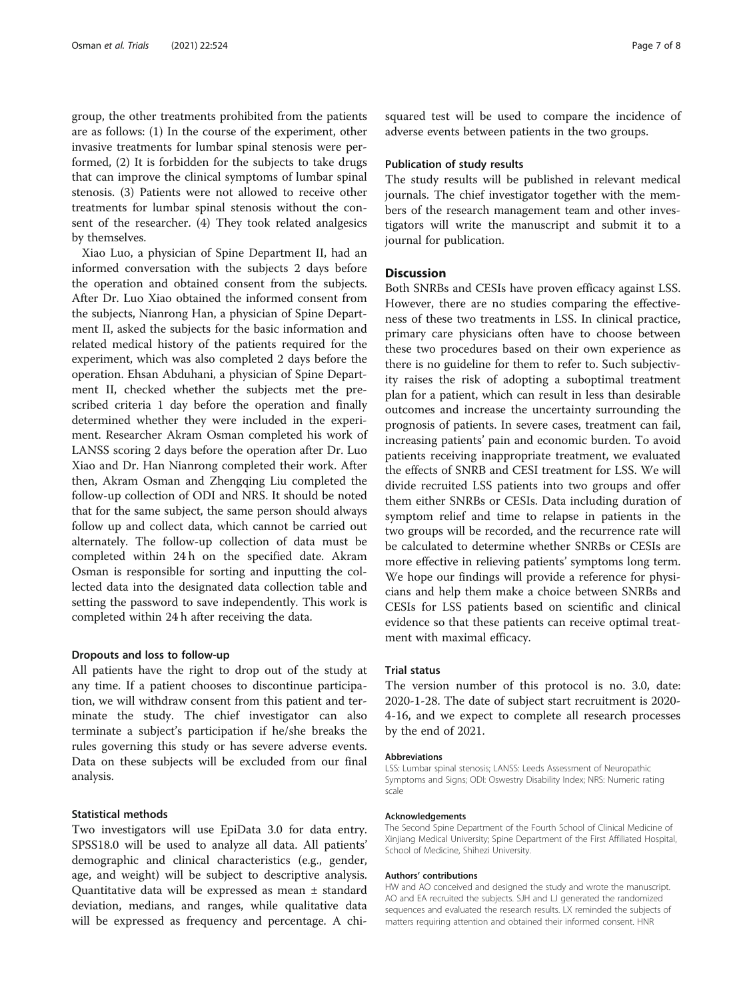group, the other treatments prohibited from the patients are as follows: (1) In the course of the experiment, other invasive treatments for lumbar spinal stenosis were performed, (2) It is forbidden for the subjects to take drugs that can improve the clinical symptoms of lumbar spinal stenosis. (3) Patients were not allowed to receive other treatments for lumbar spinal stenosis without the consent of the researcher. (4) They took related analgesics by themselves.

Xiao Luo, a physician of Spine Department II, had an informed conversation with the subjects 2 days before the operation and obtained consent from the subjects. After Dr. Luo Xiao obtained the informed consent from the subjects, Nianrong Han, a physician of Spine Department II, asked the subjects for the basic information and related medical history of the patients required for the experiment, which was also completed 2 days before the operation. Ehsan Abduhani, a physician of Spine Department II, checked whether the subjects met the prescribed criteria 1 day before the operation and finally determined whether they were included in the experiment. Researcher Akram Osman completed his work of LANSS scoring 2 days before the operation after Dr. Luo Xiao and Dr. Han Nianrong completed their work. After then, Akram Osman and Zhengqing Liu completed the follow-up collection of ODI and NRS. It should be noted that for the same subject, the same person should always follow up and collect data, which cannot be carried out alternately. The follow-up collection of data must be completed within 24 h on the specified date. Akram Osman is responsible for sorting and inputting the collected data into the designated data collection table and setting the password to save independently. This work is completed within 24 h after receiving the data.

#### Dropouts and loss to follow-up

All patients have the right to drop out of the study at any time. If a patient chooses to discontinue participation, we will withdraw consent from this patient and terminate the study. The chief investigator can also terminate a subject's participation if he/she breaks the rules governing this study or has severe adverse events. Data on these subjects will be excluded from our final analysis.

#### Statistical methods

Two investigators will use EpiData 3.0 for data entry. SPSS18.0 will be used to analyze all data. All patients' demographic and clinical characteristics (e.g., gender, age, and weight) will be subject to descriptive analysis. Quantitative data will be expressed as mean ± standard deviation, medians, and ranges, while qualitative data will be expressed as frequency and percentage. A chisquared test will be used to compare the incidence of adverse events between patients in the two groups.

#### Publication of study results

The study results will be published in relevant medical journals. The chief investigator together with the members of the research management team and other investigators will write the manuscript and submit it to a journal for publication.

#### **Discussion**

Both SNRBs and CESIs have proven efficacy against LSS. However, there are no studies comparing the effectiveness of these two treatments in LSS. In clinical practice, primary care physicians often have to choose between these two procedures based on their own experience as there is no guideline for them to refer to. Such subjectivity raises the risk of adopting a suboptimal treatment plan for a patient, which can result in less than desirable outcomes and increase the uncertainty surrounding the prognosis of patients. In severe cases, treatment can fail, increasing patients' pain and economic burden. To avoid patients receiving inappropriate treatment, we evaluated the effects of SNRB and CESI treatment for LSS. We will divide recruited LSS patients into two groups and offer them either SNRBs or CESIs. Data including duration of symptom relief and time to relapse in patients in the two groups will be recorded, and the recurrence rate will be calculated to determine whether SNRBs or CESIs are more effective in relieving patients' symptoms long term. We hope our findings will provide a reference for physicians and help them make a choice between SNRBs and CESIs for LSS patients based on scientific and clinical evidence so that these patients can receive optimal treatment with maximal efficacy.

#### Trial status

The version number of this protocol is no. 3.0, date: 2020-1-28. The date of subject start recruitment is 2020- 4-16, and we expect to complete all research processes by the end of 2021.

#### Abbreviations

LSS: Lumbar spinal stenosis; LANSS: Leeds Assessment of Neuropathic Symptoms and Signs; ODI: Oswestry Disability Index; NRS: Numeric rating scale

#### Acknowledgements

The Second Spine Department of the Fourth School of Clinical Medicine of Xinjiang Medical University; Spine Department of the First Affiliated Hospital, School of Medicine, Shihezi University.

#### Authors' contributions

HW and AO conceived and designed the study and wrote the manuscript. AO and EA recruited the subjects. SJH and LJ generated the randomized sequences and evaluated the research results. LX reminded the subjects of matters requiring attention and obtained their informed consent. HNR